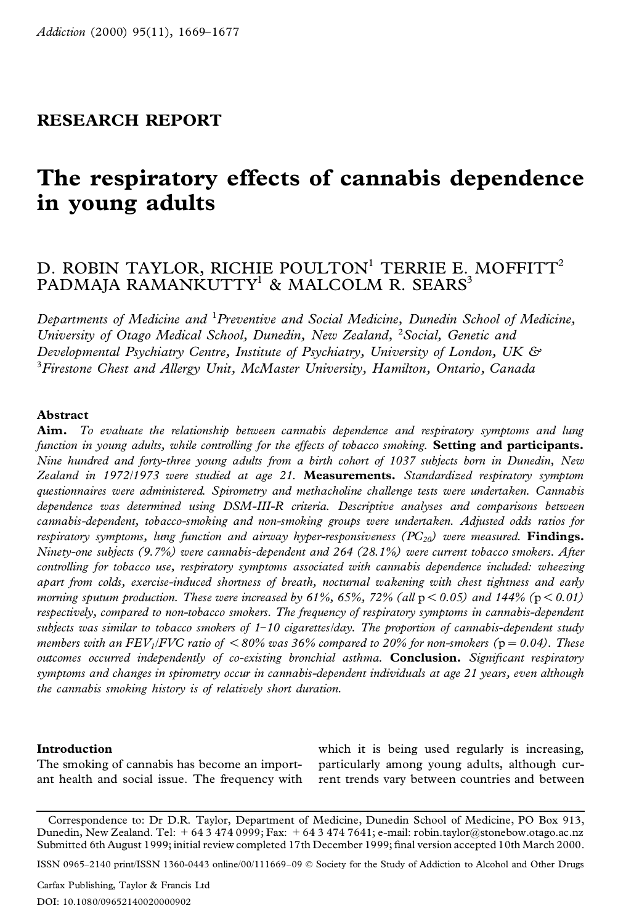## **RESEARCH REPORT**

# **The respiratory effects of cannabis dependence in young adults**

## D. ROBIN TAYLOR, RICHIE POULTON<sup>1</sup> TERRIE E. MOFFITT<sup>2</sup> PADMAJA RAMANKUTTY<sup>1</sup> & MALCOLM R. SEARS<sup>3</sup>

*Departments of Medicine and* <sup>1</sup>*Preventive and Social Medicine, Dunedin School of Medicine, University of Otago Medical School, Dunedin, New Zealand,* <sup>2</sup>*Social, Genetic and Developmental Psychiatry Centre, Institute of Psychiatry, University of London, UK &* <sup>3</sup>*Firestone Chest and Allergy Unit, McMaster University, Hamilton, Ontario, Canada*

### **Abstract**

**Aim.** *To evaluate the relationship between cannabis dependence and respiratory symptoms and lung function in young adults, while controlling for the effects of tobacco smoking.* **Setting and participants.** Nine hundred and forty-three young adults from a birth cohort of 1037 subjects born in Dunedin, New *Zealand in 1972/1973 were studied at age 21.* **Measurements.** *Standardized respiratory symptom questionnaires were administered. Spirometry and methacholine challenge tests were undertaken. Cannabis dependence was determined using DSM-III-R criteria. Descriptive analyses and comparisons between cannabis-dependent, tobacco-smoking and non-smoking groups were undertaken. Adjusted odds ratios for respiratory symptoms, lung function and airway hyper-responsiveness (PC20) were measured.* **Findings.** *Ninety-one subjects (9.7%) were cannabis-dependent and 264 (28.1%) were current tobacco smokers. After controlling for tobacco use, respiratory symptoms associated with cannabis dependence included: wheezing apart from colds, exercise-induced shortness of breath, nocturnal wakening with chest tightness and early morning sputum production.* These *were increased* by 61%, 65%, 72% (all  $p < 0.05$ ) and 144% ( $p < 0.01$ ) *respectively, compared to non-tobacco smokers. The frequency of respiratory symptoms in cannabis-dependent* subjects was similar to tobacco smokers of  $1-10$  cigarettes/day. The proportion of cannabis-dependent study members with an FEV<sub>1</sub>/FVC ratio of  $\langle 80\%$  was 36% compared to 20% for non-smokers ( $p = 0.04$ ). These *outcomes occurred independently of co-existing bronchial asthma.* **Conclusion.** *Signi cant respiratory symptoms and changes in spirometry occur in cannabis-dependent individuals at age 21 years, even although the cannabis smoking history is of relatively short duration.*

#### **Introduction**

The smoking of cannabis has become an important health and social issue. The frequency with

which it is being used regularly is increasing, particularly among young adults, although current trends vary between countries and between

Correspondence to: Dr D.R. Taylor, Department of Medicine, Dunedin School of Medicine, PO Box 913, Dunedin, New Zealand. Tel: + 64 3 474 0999; Fax: + 64 3 474 7641; e-mail: robin.taylor@stonebow.otago.ac.nz Submitted 6th August 1999; initial review completed 17th December 1999; final version accepted 10th March 2000.

ISSN 0965–2140 print/ISSN 1360-0443 online/00/111669–09 Ó Society for the Study of Addiction to Alcohol and Other Drugs

Carfax Publishing, Taylor & Francis Ltd DOI: 10.1080/09652140020000902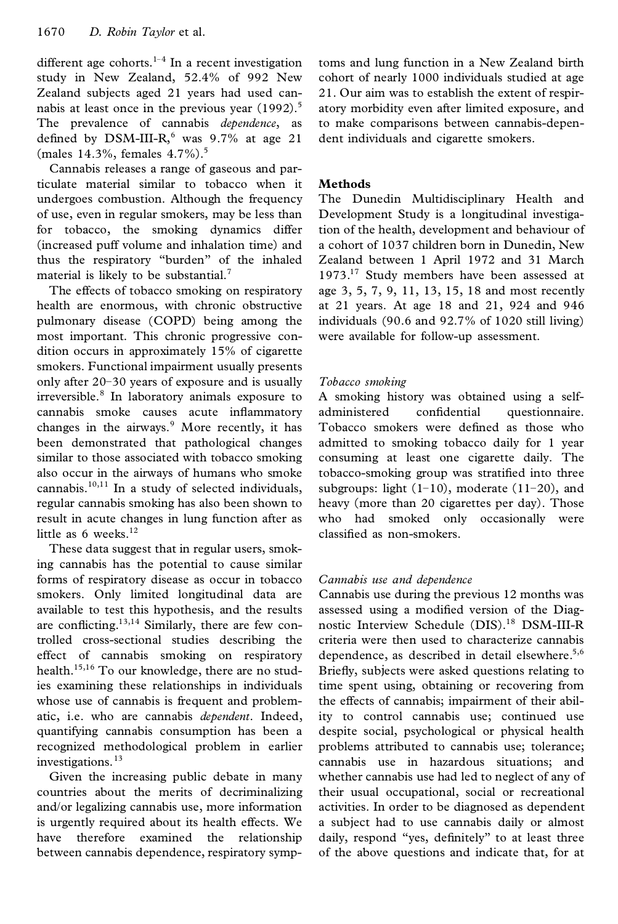different age cohorts.<sup>1-4</sup> In a recent investigation study in New Zealand, 52.4% of 992 New Zealand subjects aged 21 years had used can nabis at least once in the previous year  $(1992).$ <sup>5</sup> The prevalence of cannabis *dependence*, as defined by  $DSM-III-R$ ,<sup>6</sup> was  $9.7\%$  at age 21 (males 14.3%, females 4.7%).<sup>5</sup>

Cannabis releases a range of gaseous and particulate material similar to tobacco when it undergoes combustion. Although the frequency of use, even in regular smokers, may be less than for tobacco, the smoking dynamics differ (increased puff volume and inhalation time) and thus the respiratory "burden" of the inhaled material is likely to be substantial.<sup>7</sup>

The effects of tobacco smoking on respiratory health are enormous, with chronic obstructive pulmonary disease (COPD) being among the most important. This chronic progressive con dition occurs in approximately 15% of cigarette smokers. Functional impairment usually presents only after 20–30 years of exposure and is usually irreversible.<sup>8</sup> In laboratory animals exposure to cannabis smoke causes acute inflammatory administered changes in the airways.<sup>9</sup> More recently, it has been demonstrated that pathological changes similar to those associated with tobacco smoking also occur in the airways of humans who smoke cannabis. $10,11$  In a study of selected individuals, regular cannabis smoking has also been shown to result in acute changes in lung function after as little as 6 weeks. $12$ 

These data suggest that in regular users, smoking cannabis has the potential to cause similar forms of respiratory disease as occur in tobacco smokers. Only limited longitudinal data are available to test this hypothesis, and the results are conflicting.<sup>13,14</sup> Similarly, there are few controlled cross-sectional studies describing the effect of cannabis smoking on respiratory health.15,16 To our knowledge, there are no studies examining these relationships in individuals whose use of cannabis is frequent and problematic, i.e. who are cannabis *dependent*. Indeed, quantifying cannabis consumption has been a recognized methodological problem in earlier investigations.<sup>13</sup>

Given the increasing public debate in many countries about the merits of decriminalizing and/or legalizing cannabis use, more information is urgently required about its health effects. We have therefore examined the relationship between cannabis dependence, respiratory symptoms and lung function in a New Zealand birth cohort of nearly 1000 individuals studied at age 21. Our aim was to establish the extent of respiratory morbidity even after limited exposure, and to make comparisons between cannabis-dependent individuals and cigarette smokers.

## **Methods**

The Dunedin Multidisciplinary Health and Development Study is a longitudinal investigation of the health, development and behaviour of a cohort of 1037 children born in Dunedin, New Zealand between 1 April 1972 and 31 March 1973.<sup>17</sup> Study members have been assessed at age 3, 5, 7, 9, 11, 13, 15, 18 and most recently at 21 years. At age 18 and 21, 924 and 946 individuals (90.6 and 92.7% of 1020 still living) were available for follow-up assessment.

## *Tobacco smoking*

A smoking history was obtained using a selfconfidential questionnaire. Tobacco smokers were defined as those who admitted to smoking tobacco daily for 1 year consuming at least one cigarette daily. The tobacco-smoking group was stratified into three subgroups: light  $(1-10)$ , moderate  $(11-20)$ , and heavy (more than 20 cigarettes per day). Those who had smoked only occasionally were classified as non-smokers.

## *Cannabis use and dependence*

Cannabis use during the previous 12 months was assessed using a modified version of the Diagnostic Interview Schedule (DIS).<sup>18</sup> DSM-III-R criteria were then used to characterize cannabis dependence, as described in detail elsewhere.<sup>5,6</sup> Briefly, subjects were asked questions relating to time spent using, obtaining or recovering from the effects of cannabis; impairment of their ability to control cannabis use; continued use despite social, psychological or physical health problems attributed to cannabis use; tolerance; cannabis use in hazardous situations; and whether cannabis use had led to neglect of any of their usual occupational, social or recreational activities. In order to be diagnosed as dependent a subject had to use cannabis daily or almost daily, respond "yes, definitely" to at least three of the above questions and indicate that, for at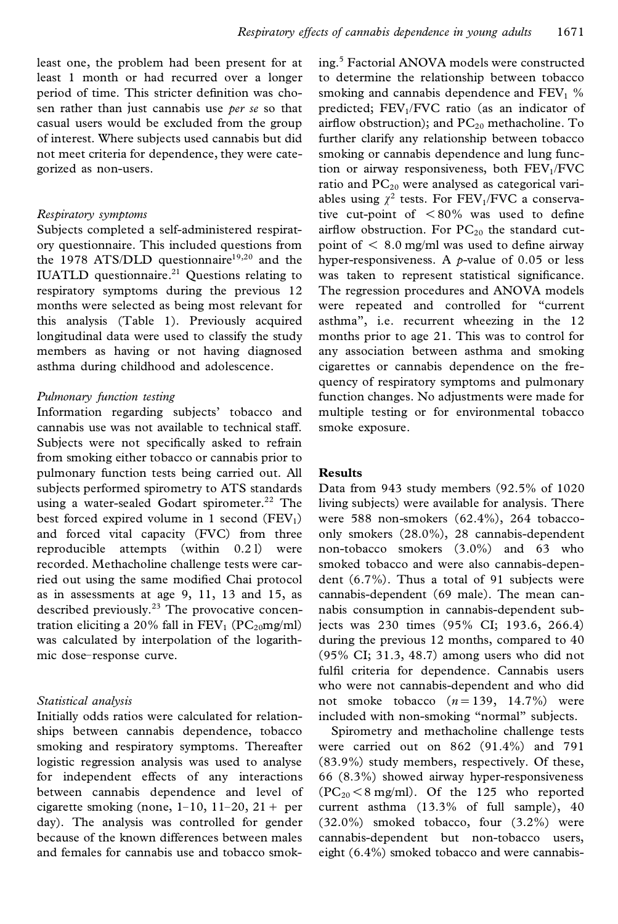least one, the problem had been present for at least 1 month or had recurred over a longer period of time. This stricter definition was chosen rather than just cannabis use *per se* so that casual users would be excluded from the group of interest. Where subjects used cannabis but did not meet criteria for dependence, they were categorized as non-users.

#### *Respiratory symptoms*

Subjects completed a self-administered respiratory questionnaire. This included questions from the 1978 ATS/DLD questionnaire $19,20$  and the IUATLD questionnaire. $21$  Questions relating to respiratory symptoms during the previous 12 months were selected as being most relevant for this analysis (Table 1). Previously acquired longitudinal data were used to classify the study members as having or not having diagnosed asthma during childhood and adolescence.

#### *Pulmonary function testing*

Information regarding subjects' tobacco and cannabis use was not available to technical staff. Subjects were not specifically asked to refrain from smoking either tobacco or cannabis prior to pulmonary function tests being carried out. All subjects performed spirometry to ATS standards using a water-sealed Godart spirometer.<sup>22</sup> The best forced expired volume in 1 second  $(FEV_1)$ and forced vital capacity (FVC) from three reproducible attempts (within 0.2 l) were recorded. Methacholine challenge tests were carried out using the same modified Chai protocol as in assessments at age 9, 11, 13 and 15, as described previously.<sup>23</sup> The provocative concentration eliciting a 20% fall in  $FEV_1$  (PC<sub>20</sub>mg/ml) was calculated by interpolation of the logarithmic dose–response curve.

#### *Statistical analysis*

Initially odds ratios were calculated for relationships between cannabis dependence, tobacco smoking and respiratory symptoms. Thereafter logistic regression analysis was used to analyse for independent effects of any interactions between cannabis dependence and level of cigarette smoking (none,  $1-10$ ,  $11-20$ ,  $21+$  per day). The analysis was controlled for gender because of the known differences between males and females for cannabis use and tobacco smoking.<sup>5</sup> Factorial ANOVA models were constructed to determine the relationship between tobacco smoking and cannabis dependence and  $FEV<sub>1</sub>$ % predicted; FEV1/FVC ratio (as an indicator of airflow obstruction); and  $PC_{20}$  methacholine. To further clarify any relationship between tobacco smoking or cannabis dependence and lung function or airway responsiveness, both  $FEV<sub>1</sub>/FVC$ ratio and  $PC_{20}$  were analysed as categorical variables using  $\chi^2$  tests. For FEV<sub>1</sub>/FVC a conservative cut-point of  $\langle 80\%$  was used to define airflow obstruction. For  $PC_{20}$  the standard cutpoint of  $< 8.0$  mg/ml was used to define airway hyper-responsiveness. A *p*-value of 0.05 or less was taken to represent statistical significance. The regression procedures and ANOVA models were repeated and controlled for "current asthma", i.e. recurrent wheezing in the 12 months prior to age 21. This was to control for any association between asthma and smoking cigarettes or cannabis dependence on the frequency of respiratory symptoms and pulmonary function changes. No adjustments were made for multiple testing or for environmental tobacco smoke exposure.

#### **Results**

Data from 943 study members (92.5% of 1020 living subjects) were available for analysis. There were 588 non-smokers (62.4%), 264 tobaccoonly smokers (28.0%), 28 cannabis-dependent non-tobacco smokers (3.0%) and 63 who smoked tobacco and were also cannabis-dependent (6.7%). Thus a total of 91 subjects were cannabis-dependent (69 male). The mean can nabis consumption in cannabis-dependent subjects was 230 times (95% CI; 193.6, 266.4) during the previous 12 months, compared to 40 (95% CI; 31.3, 48.7) among users who did not fulfil criteria for dependence. Cannabis users who were not cannabis-dependent and who did not smoke tobacco  $(n=139, 14.7\%)$  were included with non-smoking "normal" subjects.

Spirometry and methacholine challenge tests were carried out on 862 (91.4%) and 791 (83.9%) study members, respectively. Of these, 66 (8.3%) showed airway hyper-responsiveness  $(PC_{20} < 8$  mg/ml). Of the 125 who reported current asthma (13.3% of full sample), 40 (32.0%) smoked tobacco, four (3.2%) were cannabis-dependent but non-tobacco users, eight (6.4%) smoked tobacco and were cannabis-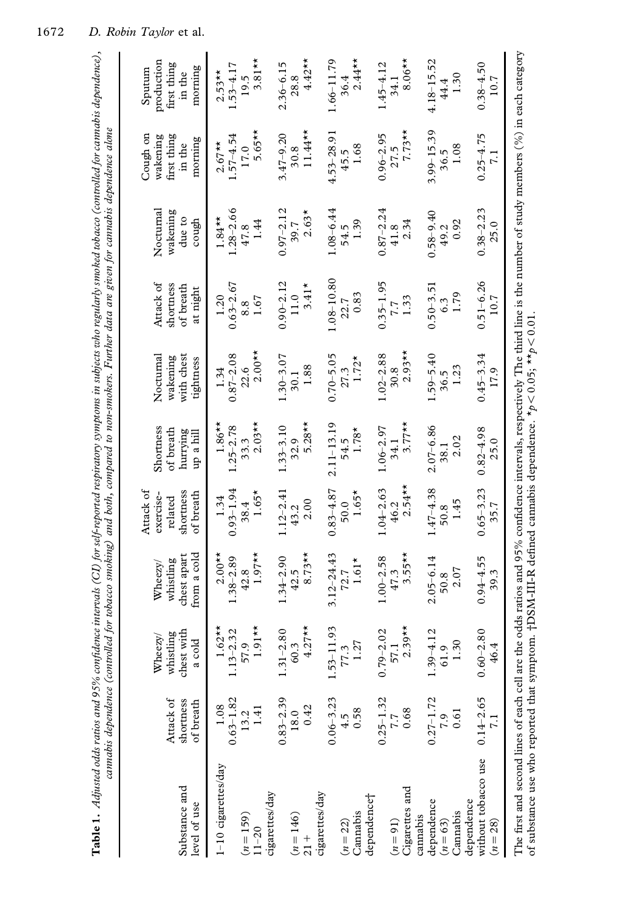| Table 1. Adjusted odds ratios and 95% confidence intervals (CI) for self-reported respiratory symptoms in subjects who regularly smoked tobacco (controlled for cannabis dependence),                                  |                                                            |                                       | cannabis dependence (controlled for tobacco smoking) and both, compared to non-smokers. Further data are given for cannabis dependence alone |                                                |                                    |                                     |                                     |                                 |                                               |                                               |
|------------------------------------------------------------------------------------------------------------------------------------------------------------------------------------------------------------------------|------------------------------------------------------------|---------------------------------------|----------------------------------------------------------------------------------------------------------------------------------------------|------------------------------------------------|------------------------------------|-------------------------------------|-------------------------------------|---------------------------------|-----------------------------------------------|-----------------------------------------------|
| Substance and                                                                                                                                                                                                          | Attack of<br>shortness                                     | chest with<br>whistling<br>$W$ heezy/ | chest apart<br>whistling<br>Wheezv/                                                                                                          | shortness<br>Attack of<br>exercise-<br>related | Shortness<br>of breath<br>hurrying | with chest<br>Nocturnal<br>wakening | Attack of<br>shortness<br>of breath | Nocturnal<br>wakening<br>due to | Cough on<br>first thing<br>wakening<br>in the | production<br>first thing<br>Sputum<br>in the |
| level of use                                                                                                                                                                                                           | of breath                                                  | a cold                                | from a cold                                                                                                                                  | of breath                                      | up a hill                          | tightness                           | at night                            | cough                           | morning                                       | morning                                       |
| 1-10 cigarettes/day                                                                                                                                                                                                    | $1.08$<br>$0.63-1.82$<br>$13.2$<br>$1.41$                  | $1.62**$<br>$.13 - 2.32$              | $2.00**$<br>$1.38 - 2.89$                                                                                                                    | $0.93 - 1.94$<br>1.34                          | $1.86**$<br>$.25 - 2.78$           | $0.87 - 2.08$<br>1.34               | $0.63 - 2.67$<br>1.20               | $1.28 - 2.66$<br>$1.84***$      | $1.57 - 4.54$<br>$2.67**$                     | $1.53 - 4.17$<br>$2.53**$                     |
|                                                                                                                                                                                                                        |                                                            | 57.9                                  | 42.8                                                                                                                                         | 38.4                                           | 33.3                               | 22.6                                | 8.8                                 | 47.8                            | 17.0                                          | 19.5                                          |
| $(n = 159)$<br>11-20                                                                                                                                                                                                   |                                                            | $1.91**$                              | $1.97**$                                                                                                                                     | $1.65*$                                        | $2.03**$                           | $2.00**$                            | 1.67                                | 1.44                            | $5.65**$                                      | $3.81**$                                      |
| cigarettes/day                                                                                                                                                                                                         |                                                            |                                       |                                                                                                                                              |                                                |                                    |                                     |                                     |                                 |                                               |                                               |
|                                                                                                                                                                                                                        |                                                            | $.31 - 2.80$<br>60.3                  | $1.34 - 2.90$<br>42.5                                                                                                                        | $1.12 - 2.41$                                  | $.33 - 3.10$                       | $1.30 - 3.07$<br>30.1               | $0.90 - 2.12$<br>11.0               | $0.97 - 2.12$<br>39.7           | $3.47 - 9.20$<br>30.8                         | $2.36 - 6.15$                                 |
| $(n = 146)$<br>21 +                                                                                                                                                                                                    | $\begin{array}{c} 0.83 - 2.39 \\ 18.0 \\ 0.42 \end{array}$ | $4.27**$                              | $8.73**$                                                                                                                                     | 2.00<br>43.2                                   | $5.28**$<br>32.9                   | 1.88                                | $3.41*$                             | $2.63*$                         | $11.44***$                                    | $4.42**$<br>28.8                              |
| cigarettes/day                                                                                                                                                                                                         |                                                            |                                       |                                                                                                                                              |                                                |                                    |                                     |                                     |                                 |                                               |                                               |
|                                                                                                                                                                                                                        | $0.06 - 3.23$                                              | $53 - 11.93$                          | $3.12 - 24.43$                                                                                                                               | $0.83 - 4.87$                                  | $2.11 - 13.19$                     | $0.70 - 5.05$                       | $.08 - 10.80$                       | $1.08 - 6.44$                   | $4.53 - 28.91$                                | $1.66 - 11.79$                                |
| $(n = 22)$                                                                                                                                                                                                             | $^{4.5}_{0.58}$                                            | 77.3                                  | 72.7                                                                                                                                         | 50.0                                           | 54.5                               | 27.3                                | 22.7                                | 54.5                            | 45.5                                          | 36.4                                          |
| Cannabis                                                                                                                                                                                                               |                                                            | 1.27                                  | $1.61*$                                                                                                                                      | $1.65*$                                        | $1.78*$                            | $1.72*$                             | 0.83                                | 1.39                            | 1.68                                          | $2.44**$                                      |
| dependence <sup>+</sup>                                                                                                                                                                                                |                                                            |                                       |                                                                                                                                              |                                                |                                    |                                     |                                     |                                 |                                               |                                               |
|                                                                                                                                                                                                                        |                                                            | $79 - 2.02$                           | $1.00 - 2.58$                                                                                                                                | $1.04 - 2.63$                                  | $1.06 - 2.97$                      | $1.02 - 2.88$                       | $0.35 - 1.95$                       | $0.87 - 2.24$                   | $0.96 - 2.95$                                 | $1.45 - 4.12$                                 |
| $(n = 91)$                                                                                                                                                                                                             | $0.25 - 1.32$<br>7.7<br>0.68                               | 57.1                                  | 47.3                                                                                                                                         | 46.2                                           | 34.1                               | 30.8                                | 7.7                                 | 41.8                            | 27.5                                          | 34.1                                          |
| Cigarettes and<br>cannabis                                                                                                                                                                                             |                                                            | $2.39**$                              | $3.55**$                                                                                                                                     | $2.54***$                                      | $3.77**$                           | $2.93**$                            | 1.33                                | 2.34                            | $7.73**$                                      | $8.06**$                                      |
| dependence                                                                                                                                                                                                             | $0.27 - 1.72$                                              | $39 - 4.12$                           | $2.05 - 6.14$                                                                                                                                | $1.47 - 4.38$                                  | $2.07 - 6.86$                      | $1.59 - 5.40$                       | $0.50 - 3.5$                        | $0.58 - 9.40$                   | $3.99 - 15.39$                                | $4.18 - 15.52$                                |
| $(n = 63)$                                                                                                                                                                                                             |                                                            | 61.9                                  | 50.8                                                                                                                                         | 50.8                                           | 38.1                               | 36.5                                | 6.3                                 | 49.2                            | 36.5                                          | 44.4                                          |
| Cannabis                                                                                                                                                                                                               | $7.9$<br>0.61                                              | 1.30                                  | 2.07                                                                                                                                         | 1.45                                           | 2.02                               | 1.23                                | 1.79                                | 0.92                            | 1.08                                          | 1.30                                          |
| dependence                                                                                                                                                                                                             |                                                            |                                       |                                                                                                                                              |                                                |                                    |                                     |                                     |                                 |                                               |                                               |
| without tobacco use                                                                                                                                                                                                    | $0.14 - 2.65$                                              | $0.60 - 2.80$                         | $0.94 - 4.55$                                                                                                                                | $0.65 - 3.23$                                  | $0.82 - 4.98$                      | $0.45 - 3.34$                       | $0.51 - 6.26$                       | $0.38 - 2.23$                   | $0.25 - 4.75$                                 | $0.38 - 4.50$                                 |
| $(n = 28)$                                                                                                                                                                                                             |                                                            | 46.4                                  | 39.3                                                                                                                                         | 35.7                                           | 25.0                               | 17.9                                | 10.7                                | 25.0                            |                                               | 10.7                                          |
| The first and second lines of each cell are the odds ratios and 95% confidence intervals, respectively The third line is the number of study members $('%)$ in each category<br>of substance use who reported that sy- |                                                            |                                       | mptom. †DSM-III-R defined cannabis dependence. *p< 0.05; **p < 0.01                                                                          |                                                |                                    |                                     |                                     |                                 |                                               |                                               |
|                                                                                                                                                                                                                        |                                                            |                                       |                                                                                                                                              |                                                |                                    |                                     |                                     |                                 |                                               |                                               |

of substance use who reported that symptom. †DSM-III-R defined cannabis dependence. \* $p$ < 0.05; \*\* $p$ < 0.01.<br>of substance use who reported that symptom. †DSM-III-R defined cannabis dependence. \* $p$ < 0.05; \*\* $p$ < 0.01.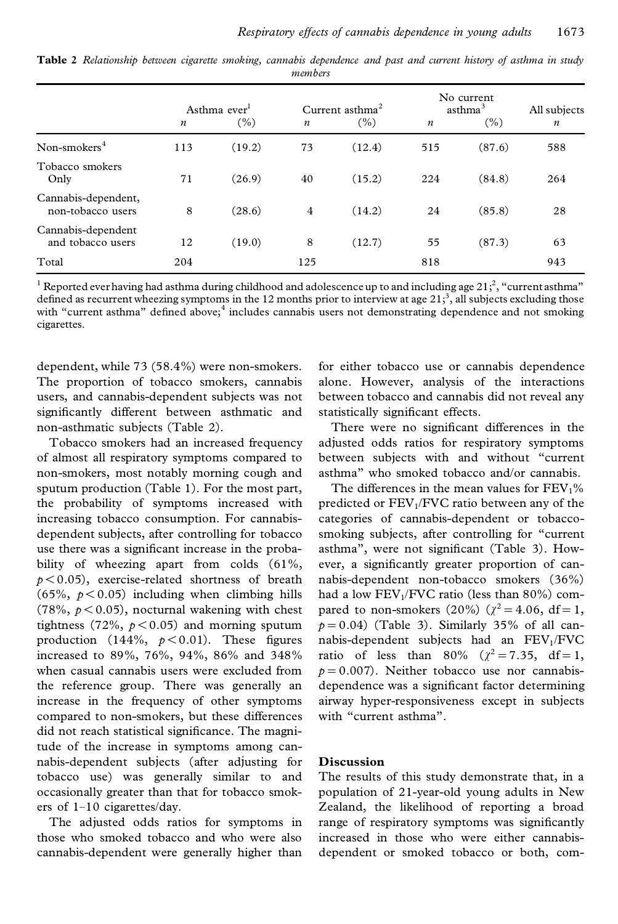|                                          |                  | Asthma ever <sup>1</sup> |                  | Current asthma <sup>2</sup> |                  | No current<br>asthma <sup>3</sup> | All subjects     |
|------------------------------------------|------------------|--------------------------|------------------|-----------------------------|------------------|-----------------------------------|------------------|
|                                          | $\boldsymbol{n}$ | (%)                      | $\boldsymbol{n}$ | (%)                         | $\boldsymbol{n}$ | (%)                               | $\boldsymbol{n}$ |
| Non-smokers $4$                          | 113              | (19.2)                   | 73               | (12.4)                      | 515              | (87.6)                            | 588              |
| Tobacco smokers<br>Only                  | 71               | (26.9)                   | 40               | (15.2)                      | 224              | (84.8)                            | 264              |
| Cannabis-dependent,<br>non-tobacco users | 8                | (28.6)                   | $\overline{4}$   | (14.2)                      | 24               | (85.8)                            | 28               |
| Cannabis-dependent<br>and tobacco users  | 12               | (19.0)                   | 8                | (12.7)                      | 55               | (87.3)                            | 63               |
| Total                                    | 204              |                          | 125              |                             | 818              |                                   | 943              |

Table 2 Relationship between cigarette smoking, cannabis dependence and past and current history of asthma in study *members*

 $^1$  Reported ever having had asthma during childhood and adolescence up to and including age 21;<sup>2</sup>, "current asthma" defined as recurrent wheezing symptoms in the 12 months prior to interview at age  $21<sup>3</sup>$ , all subjects excluding those with "current asthma" defined above;<sup>4</sup> includes cannabis users not demonstrating dependence and not smoking cigarettes.

dependent, while 73 (58.4%) were non-smokers. The proportion of tobacco smokers, cannabis users, and cannabis-dependent subjects was not significantly different between asthmatic and non-asthmatic subjects (Table 2).

Tobacco smokers had an increased frequency of almost all respiratory symptoms compared to non-smokers, most notably morning cough and sputum production (Table 1). For the most part, the probability of symptoms increased with increasing tobacco consumption. For cannabisdependent subjects, after controlling for tobacco use there was a significant increase in the probability of wheezing apart from colds  $(61\%,$  $p$ <0.05), exercise-related shortness of breath  $(65\%, p < 0.05)$  including when climbing hills  $(78\%, p < 0.05)$ , nocturnal wakening with chest tightness (72%,  $p < 0.05$ ) and morning sputum production (144%,  $p < 0.01$ ). These figures increased to 89%, 76%, 94%, 86% and 348% when casual cannabis users were excluded from the reference group. There was generally an increase in the frequency of other symptoms compared to non-smokers, but these differences did not reach statistical significance. The magnitude of the increase in symptoms among can nabis-dependent subjects (after adjusting for tobacco use) was generally similar to and occasionally greater than that for tobacco smok ers of 1–10 cigarettes/day.

The adjusted odds ratios for symptoms in those who smoked tobacco and who were also cannabis-dependent were generally higher than for either tobacco use or cannabis dependence alone. However, analysis of the interactions between tobacco and cannabis did not reveal any statistically significant effects.

There were no significant differences in the adjusted odds ratios for respiratory symptoms between subjects with and without "current asthma" who smoked tobacco and/or cannabis.

The differences in the mean values for  $FEV<sub>1</sub>%$ predicted or  $FEV<sub>1</sub>/FVC$  ratio between any of the categories of cannabis-dependent or tobaccosmoking subjects, after controlling for "current asthma", were not significant (Table 3). However, a significantly greater proportion of cannabis-dependent non-tobacco smokers (36%) had a low  $FEV<sub>1</sub>/FVC$  ratio (less than 80%) compared to non-smokers (20%) ( $\chi^2 = 4.06$ , df = 1,  $p = 0.04$ ) (Table 3). Similarly 35% of all cannabis-dependent subjects had an  $FEV<sub>1</sub>/FVC$ ratio of less than 80% ( $\chi^2 = 7.35$ , df=1,  $p = 0.007$ ). Neither tobacco use nor cannabisdependence was a significant factor determining airway hyper-responsiveness except in subjects with "current asthma".

#### **Discussion**

The results of this study demonstrate that, in a population of 21-year-old young adults in New Zealand, the likelihood of reporting a broad range of respiratory symptoms was significantly increased in those who were either cannabisdependent or smoked tobacco or both, com-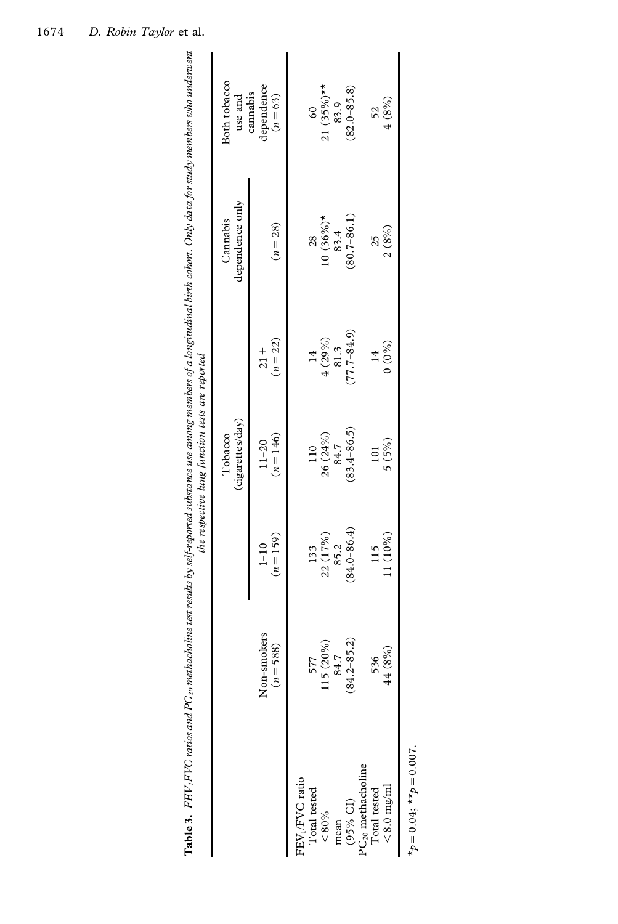| j<br>ì<br>5<br>ì<br>ś<br>$\overline{\phantom{a}}$<br>ĺ<br>ś<br>$\frac{1}{2}$<br>ł<br>:<br>$\frac{1}{2}$<br>j<br>Ì<br>ï<br>֧֓֕֜<br>ł<br>ś<br>:<br>j<br>S<br>í,<br>į<br>З<br>ś<br><b>Table 3.</b> FEV <sub>1</sub> FVC ratios and $PC_{20}$ met | ١<br>j |
|-----------------------------------------------------------------------------------------------------------------------------------------------------------------------------------------------------------------------------------------------|--------|
|                                                                                                                                                                                                                                               |        |

| Non-smokers<br>115 (20%)<br>$-588$<br>-77<br>$(n =$<br>FEV <sub>1</sub> /FVC ratio<br>Total tested<br>${}^{80\%}$ | $(n = 159)$<br>$1 - 10$                                   | (cigarettes/day)         |                                                         | dependence only<br>Cannabis | Both tobacco<br>use and              |
|-------------------------------------------------------------------------------------------------------------------|-----------------------------------------------------------|--------------------------|---------------------------------------------------------|-----------------------------|--------------------------------------|
|                                                                                                                   |                                                           | $(n = 146)$<br>$11 - 20$ | $(n = 22)$<br>$rac{+}{21}$                              | $(n = 28)$                  | lependence<br>cannabis<br>$(n = 63)$ |
|                                                                                                                   |                                                           |                          |                                                         |                             |                                      |
|                                                                                                                   |                                                           | 110                      |                                                         | 28                          | $\overline{60}$                      |
|                                                                                                                   | $\begin{array}{c} 133 \\ 22 \ (17\%) \\ 85.2 \end{array}$ | $26(24\%)$<br>84.7       | $\begin{array}{c} 14 \\ 4 \ (29\%) \\ 81.3 \end{array}$ | $10(36\%)*$<br>83.4         | $21 (35\%)**$                        |
| 84.7<br>mean                                                                                                      |                                                           |                          |                                                         |                             | 83.9                                 |
| $(84.2 - 85.2)$<br>(95% CI)<br>$PC_{20}$ methacholine                                                             | $(84.0 - 86.4)$                                           | $(83.4 - 86.5)$          | $77.7 - 84.9$                                           | $(80.7 - 86.1)$             | $(82.0 - 85.8)$                      |
|                                                                                                                   |                                                           |                          |                                                         |                             |                                      |
| 536<br>Total tested                                                                                               | 115                                                       | 101                      | 14                                                      | 25                          | 52                                   |
| (8%)<br>$\frac{4}{4}$<br>$< 8.0$ mg/ml                                                                            | 11 (10%)                                                  | 5 (5%)                   | $0(0\%)$                                                | 2(8%)                       | 4(8%)                                |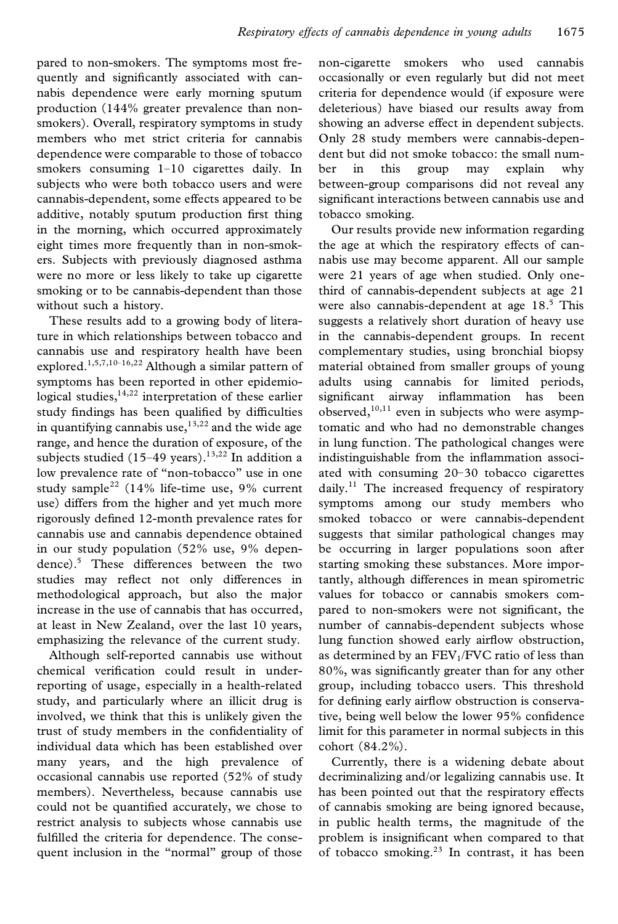pared to non-smokers. The symptoms most frequently and significantly associated with cannabis dependence were early morning sputum production (144% greater prevalence than non smokers). Overall, respiratory symptoms in study members who met strict criteria for cannabis dependence were comparable to those of tobacco smokers consuming 1-10 cigarettes daily. In ber subjects who were both tobacco users and were cannabis-dependent, some effects appeared to be additive, notably sputum production first thing in the morning, which occurred approximately eight times more frequently than in non-smok ers. Subjects with previously diagnosed asthma were no more or less likely to take up cigarette smoking or to be cannabis-dependent than those without such a history.

These results add to a growing body of literature in which relationships between tobacco and cannabis use and respiratory health have been explored.1,5,7,10–16,22 Although a similar pattern of symptoms has been reported in other epidemiological studies,  $14,22$  interpretation of these earlier study findings has been qualified by difficulties in quantifying cannabis use, $13,22$  and the wide age range, and hence the duration of exposure, of the subjects studied (15–49 years).<sup>13,22</sup> In addition a low prevalence rate of "non-tobacco" use in one study sample<sup>22</sup> (14% life-time use, 9% current use) differs from the higher and yet much more rigorously defined 12-month prevalence rates for cannabis use and cannabis dependence obtained in our study population (52% use, 9% dependence).<sup>5</sup> These differences between the two studies may reflect not only differences in methodological approach, but also the major increase in the use of cannabis that has occurred, at least in New Zealand, over the last 10 years, emphasizing the relevance of the current study.

Although self-reported cannabis use without chemical verification could result in underreporting of usage, especially in a health-related study, and particularly where an illicit drug is involved, we think that this is unlikely given the trust of study members in the confidentiality of individual data which has been established over many years, and the high prevalence of occasional cannabis use reported (52% of study members). Nevertheless, because cannabis use could not be quantified accurately, we chose to restrict analysis to subjects whose cannabis use fulfilled the criteria for dependence. The consequent inclusion in the "normal" group of those

non-cigarette smokers who used cannabis occasionally or even regularly but did not meet criteria for dependence would (if exposure were deleterious) have biased our results away from showing an adverse effect in dependent subjects. Only 28 study members were cannabis-dependent but did not smoke tobacco: the small num in this group may explain why between-group comparisons did not reveal any significant interactions between cannabis use and tobacco smoking.

Our results provide new information regarding the age at which the respiratory effects of can nabis use may become apparent. All our sample were 21 years of age when studied. Only onethird of cannabis-dependent subjects at age 21 were also cannabis-dependent at age 18.<sup>5</sup> This suggests a relatively short duration of heavy use in the cannabis-dependent groups. In recent complementary studies, using bronchial biopsy material obtained from smaller groups of young adults using cannabis for limited periods, significant airway inflammation has been observed,<sup>10,11</sup> even in subjects who were asymptomatic and who had no demonstrable changes in lung function. The pathological changes were indistinguishable from the inflammation associated with consuming 20–30 tobacco cigarettes daily.<sup>11</sup> The increased frequency of respiratory symptoms among our study members who smoked tobacco or were cannabis-dependent suggests that similar pathological changes may be occurring in larger populations soon after starting smoking these substances. More importantly, although differences in mean spirometric values for tobacco or cannabis smokers com pared to non-smokers were not significant, the number of cannabis-dependent subjects whose lung function showed early airflow obstruction, as determined by an  $FEV<sub>1</sub>/FVC$  ratio of less than 80%, was significantly greater than for any other group, including tobacco users. This threshold for defining early airflow obstruction is conservative, being well below the lower 95% confidence limit for this parameter in normal subjects in this cohort (84.2%).

Currently, there is a widening debate about decriminalizing and/or legalizing cannabis use. It has been pointed out that the respiratory effects of cannabis smoking are being ignored because, in public health terms, the magnitude of the problem is insignificant when compared to that of tobacco smoking.<sup>23</sup> In contrast, it has been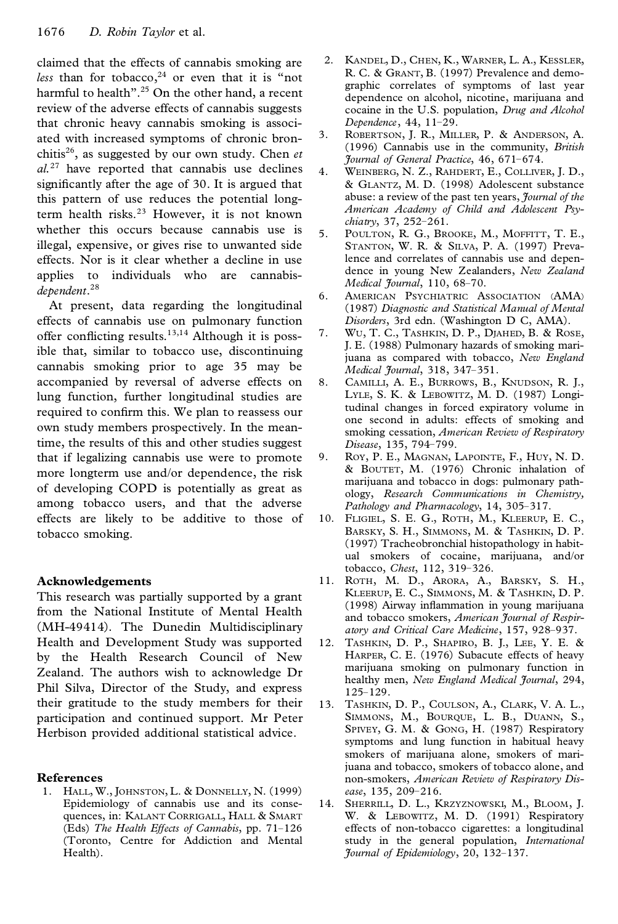claimed that the effects of cannabis smoking are *less* than for tobacco, $24$  or even that it is "not harmful to health".<sup>25</sup> On the other hand, a recent review of the adverse effects of cannabis suggests that chronic heavy cannabis smoking is associated with increased symptoms of chronic bronchitis<sup>26</sup> , as suggested by our own study. Chen *et*  $al.^{27}$  have reported that cannabis use declines  $4.$ significantly after the age of 30. It is argued that this pattern of use reduces the potential longterm health risks.<sup>23</sup> However, it is not known whether this occurs because cannabis use is illegal, expensive, or gives rise to unwanted side effects. Nor is it clear whether a decline in use applies to individuals who are cannabis*dependent*.<sup>28</sup>

At present, data regarding the longitudinal effects of cannabis use on pulmonary function<br>offer conflicting results  $13,14$  Although it is nossoffer conflicting results.<sup>13,14</sup> Although it is possible that, similar to tobacco use, discontinuing cannabis smoking prior to age 35 may be accompanied by reversal of adverse effects on 8. lung function, further longitudinal studies are required to confirm this. We plan to reassess our own study members prospectively. In the meantime, the results of this and other studies suggest that if legalizing cannabis use were to promote more longterm use and/or dependence, the risk of developing COPD is potentially as great as among tobacco users, and that the adverse effects are likely to be additive to those of tobacco smoking.

#### **Acknowledgements**

This research was partially supported by a grant from the National Institute of Mental Health (MH-49414). The Dunedin Multidisciplinary Health and Development Study was supported 12. by the Health Research Council of New Zealand. The authors wish to acknowledge Dr Phil Silva, Director of the Study, and express their gratitude to the study members for their participation and continued support. Mr Peter Herbison provided additional statistical advice.

#### **References**

1. HALL, W., JOHNSTON, L. & DONNELLY, N. (1999) Epidemiology of cannabis use and its conse quences, in: KALANT CORRIGALL, HALL & SMART (Eds) *The Health Effects of Cannabis*, pp. 71–126 (Toronto, Centre for Addiction and Mental Health).

- 2. KANDEL, D., CHEN, K., WARNER, L. A., KESSLER, R. C. & GRANT, B. (1997) Prevalence and demographic correlates of symptoms of last year dependence on alcohol, nicotine, marijuana and cocaine in the U.S. population, *Drug and Alcohol Dependence*, 44, 11–29.
- 3. ROBERTSON, J. R., MILLER, P. & ANDERSON, A. (1996) Cannabis use in the community, *British Journal of General Practice*, 46, 671–674.
- WEINBERG, N. Z., RAHDERT, E., COLLIVER, J. D., & GLANTZ, M. D. (1998) Adolescent substance abuse: a review of the past ten years, *Journal of the American Academy of Child and Adolescent Psychiatry*, 37, 252–261.
- 5. POULTON, R. G., BROOKE, M., MOFFITT, T. E., STANTON, W. R. & SILVA, P. A. (1997) Prevalence and correlates of cannabis use and dependence in young New Zealanders, *New Zealand Medical Journal*, 110, 68–70.
- 6. AMERICAN PSYCHIATRIC ASSOCIATION (AMA) (1987) *Diagnostic and Statistical Manual of Mental Disorders*, 3rd edn. (Washington D C, AMA).
- WU, T. C., TASHKIN, D. P., DJAHED, B. & ROSE, J. E. (1988) Pulmonary hazards of smoking marijuana as compared with tobacco, *New England Medical Journal*, 318, 347–351.
- 8. CAMILLI, A. E., BURROWS, B., KNUDSON, R. J., LYLE, S. K. & LEBOWITZ, M. D. (1987) Longitudinal changes in forced expiratory volume in one second in adults: effects of smoking and smoking cessation, *American Review of Respiratory Disease*, 135, 794–799.
- ROY, P. E., MAGNAN, LAPOINTE, F., HUY, N. D. & BOUTET, M. (1976) Chronic inhalation of marijuana and tobacco in dogs: pulmonary pathology, *Research Communications in Chemistry, Pathology and Pharmacology*, 14, 305–317.
- 10. FLIGIEL, S. E. G., ROTH, M., KLEERUP, E. C., BARSKY, S. H., SIMMONS, M. & TASHKIN, D. P. (1997) Tracheobronchial histopathology in habitual smokers of cocaine, marijuana, and/or tobacco, *Chest*, 112, 319–326.
- 11. ROTH, M. D., ARORA, A., BARSKY, S. H., KLEERUP, E. C., SIMMONS, M. & TASHKIN, D. P. (1998) Airway inflammation in young marijuana and tobacco smokers, *American Journal of Respiratory and Critical Care Medicine*, 157, 928–937.
- TASHKIN, D. P., SHAPIRO, B. J., LEE, Y. E. & HARPER, C. E. (1976) Subacute effects of heavy marijuana smoking on pulmonary function in healthy men, *New England Medical Journal*, 294, 125–129.
- 13. TASHKIN, D. P., COULSON, A., CLARK, V. A. L., SIMMONS, M., BOURQUE, L. B., DUANN, S., SPIVEY, G. M. & GONG, H. (1987) Respiratory symptoms and lung function in habitual heavy smokers of marijuana alone, smokers of marijuana and tobacco, smokers of tobacco alone, and non-smokers, *American Review of Respiratory Dis ease*, 135, 209–216.
- 14. SHERRILL, D. L., KRZYZNOWSKI, M., BLOOM, J. W. & LEBOWITZ, M. D. (1991) Respiratory effects of non-tobacco cigarettes: a longitudinal study in the general population, *International Journal of Epidemiology*, 20, 132–137.